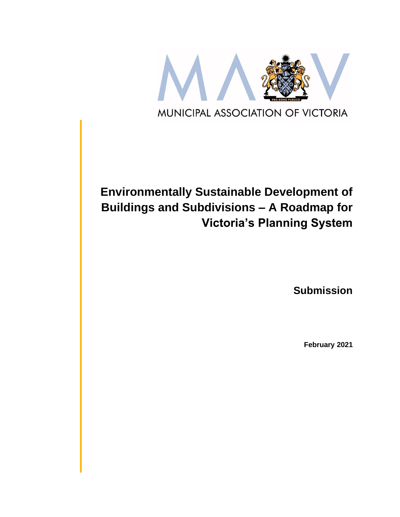

# **Environmentally Sustainable Development of Buildings and Subdivisions – A Roadmap for Victoria's Planning System**

**Submission**

**February 2021**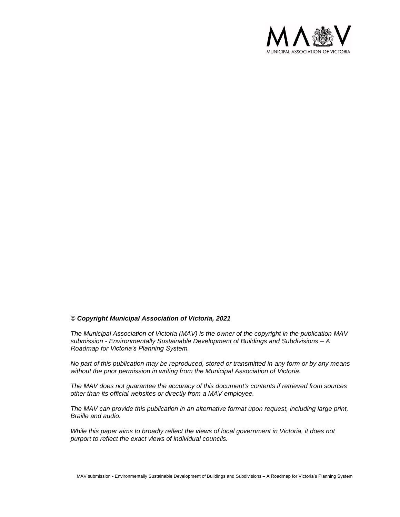

#### *© Copyright Municipal Association of Victoria, 2021*

*The Municipal Association of Victoria (MAV) is the owner of the copyright in the publication MAV submission - Environmentally Sustainable Development of Buildings and Subdivisions – A Roadmap for Victoria's Planning System.* 

*No part of this publication may be reproduced, stored or transmitted in any form or by any means without the prior permission in writing from the Municipal Association of Victoria.* 

*The MAV does not guarantee the accuracy of this document's contents if retrieved from sources other than its official websites or directly from a MAV employee.*

*The MAV can provide this publication in an alternative format upon request, including large print, Braille and audio.* 

*While this paper aims to broadly reflect the views of local government in Victoria, it does not purport to reflect the exact views of individual councils.*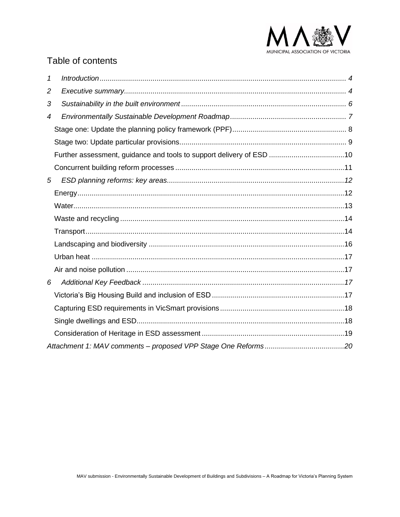

## Table of contents

| 1              |                                                                      |  |
|----------------|----------------------------------------------------------------------|--|
| $\overline{c}$ |                                                                      |  |
| 3              |                                                                      |  |
| 4              |                                                                      |  |
|                |                                                                      |  |
|                |                                                                      |  |
|                | Further assessment, guidance and tools to support delivery of ESD 10 |  |
|                |                                                                      |  |
| 5              |                                                                      |  |
|                |                                                                      |  |
|                |                                                                      |  |
|                |                                                                      |  |
|                |                                                                      |  |
|                |                                                                      |  |
|                |                                                                      |  |
|                |                                                                      |  |
| 6              |                                                                      |  |
|                |                                                                      |  |
|                |                                                                      |  |
|                |                                                                      |  |
|                |                                                                      |  |
|                |                                                                      |  |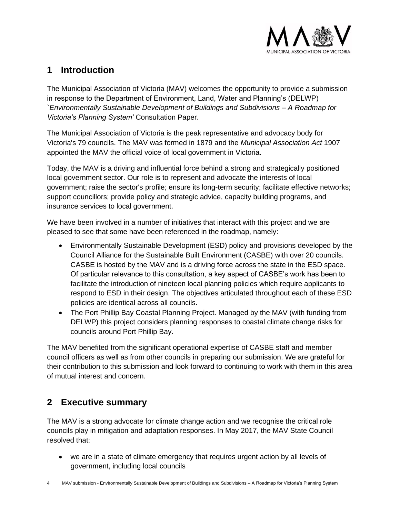

## <span id="page-3-0"></span>**1 Introduction**

The Municipal Association of Victoria (MAV) welcomes the opportunity to provide a submission in response to the Department of Environment, Land, Water and Planning's (DELWP) *`Environmentally Sustainable Development of Buildings and Subdivisions – A Roadmap for Victoria's Planning System'* Consultation Paper.

The Municipal Association of Victoria is the peak representative and advocacy body for Victoria's 79 councils. The MAV was formed in 1879 and the *Municipal Association Act* 1907 appointed the MAV the official voice of local government in Victoria.

Today, the MAV is a driving and influential force behind a strong and strategically positioned local government sector. Our role is to represent and advocate the interests of local government; raise the sector's profile; ensure its long-term security; facilitate effective networks; support councillors; provide policy and strategic advice, capacity building programs, and insurance services to local government.

We have been involved in a number of initiatives that interact with this project and we are pleased to see that some have been referenced in the roadmap, namely:

- Environmentally Sustainable Development (ESD) policy and provisions developed by the Council Alliance for the Sustainable Built Environment (CASBE) with over 20 councils. CASBE is hosted by the MAV and is a driving force across the state in the ESD space. Of particular relevance to this consultation, a key aspect of CASBE's work has been to facilitate the introduction of nineteen local planning policies which require applicants to respond to ESD in their design. The objectives articulated throughout each of these ESD policies are identical across all councils.
- The Port Phillip Bay Coastal Planning Project. Managed by the MAV (with funding from DELWP) this project considers planning responses to coastal climate change risks for councils around Port Phillip Bay.

The MAV benefited from the significant operational expertise of CASBE staff and member council officers as well as from other councils in preparing our submission. We are grateful for their contribution to this submission and look forward to continuing to work with them in this area of mutual interest and concern.

## <span id="page-3-1"></span>**2 Executive summary**

The MAV is a strong advocate for climate change action and we recognise the critical role councils play in mitigation and adaptation responses. In May 2017, the MAV State Council resolved that:

• we are in a state of climate emergency that requires urgent action by all levels of government, including local councils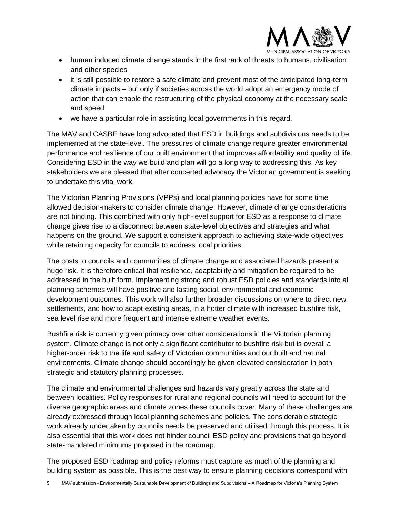

- human induced climate change stands in the first rank of threats to humans, civilisation and other species
- it is still possible to restore a safe climate and prevent most of the anticipated long-term climate impacts – but only if societies across the world adopt an emergency mode of action that can enable the restructuring of the physical economy at the necessary scale and speed
- we have a particular role in assisting local governments in this regard.

The MAV and CASBE have long advocated that ESD in buildings and subdivisions needs to be implemented at the state-level. The pressures of climate change require greater environmental performance and resilience of our built environment that improves affordability and quality of life. Considering ESD in the way we build and plan will go a long way to addressing this. As key stakeholders we are pleased that after concerted advocacy the Victorian government is seeking to undertake this vital work.

The Victorian Planning Provisions (VPPs) and local planning policies have for some time allowed decision-makers to consider climate change. However, climate change considerations are not binding. This combined with only high-level support for ESD as a response to climate change gives rise to a disconnect between state-level objectives and strategies and what happens on the ground. We support a consistent approach to achieving state-wide objectives while retaining capacity for councils to address local priorities.

The costs to councils and communities of climate change and associated hazards present a huge risk. It is therefore critical that resilience, adaptability and mitigation be required to be addressed in the built form. Implementing strong and robust ESD policies and standards into all planning schemes will have positive and lasting social, environmental and economic development outcomes. This work will also further broader discussions on where to direct new settlements, and how to adapt existing areas, in a hotter climate with increased bushfire risk, sea level rise and more frequent and intense extreme weather events.

Bushfire risk is currently given primacy over other considerations in the Victorian planning system. Climate change is not only a significant contributor to bushfire risk but is overall a higher-order risk to the life and safety of Victorian communities and our built and natural environments. Climate change should accordingly be given elevated consideration in both strategic and statutory planning processes.

The climate and environmental challenges and hazards vary greatly across the state and between localities. Policy responses for rural and regional councils will need to account for the diverse geographic areas and climate zones these councils cover. Many of these challenges are already expressed through local planning schemes and policies. The considerable strategic work already undertaken by councils needs be preserved and utilised through this process. It is also essential that this work does not hinder council ESD policy and provisions that go beyond state-mandated minimums proposed in the roadmap.

The proposed ESD roadmap and policy reforms must capture as much of the planning and building system as possible. This is the best way to ensure planning decisions correspond with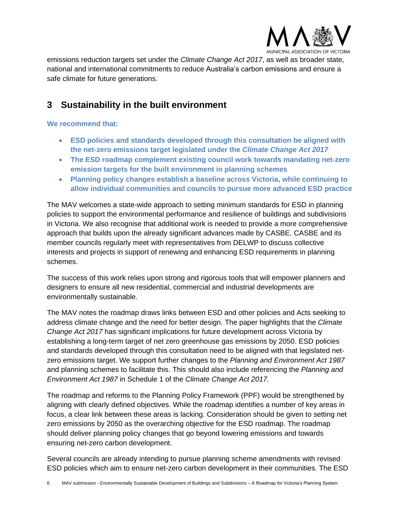

emissions reduction targets set under the *Climate Change Act 2017*, as well as broader state, national and international commitments to reduce Australia's carbon emissions and ensure a safe climate for future generations.

## <span id="page-5-0"></span>**3 Sustainability in the built environment**

## **We recommend that:**

- **ESD policies and standards developed through this consultation be aligned with the net-zero emissions target legislated under the** *Climate Change Act 2017*
- **The ESD roadmap complement existing council work towards mandating net-zero emission targets for the built environment in planning schemes**
- **Planning policy changes establish a baseline across Victoria, while continuing to allow individual communities and councils to pursue more advanced ESD practice**

The MAV welcomes a state-wide approach to setting minimum standards for ESD in planning policies to support the environmental performance and resilience of buildings and subdivisions in Victoria. We also recognise that additional work is needed to provide a more comprehensive approach that builds upon the already significant advances made by CASBE. CASBE and its member councils regularly meet with representatives from DELWP to discuss collective interests and projects in support of renewing and enhancing ESD requirements in planning schemes.

The success of this work relies upon strong and rigorous tools that will empower planners and designers to ensure all new residential, commercial and industrial developments are environmentally sustainable.

The MAV notes the roadmap draws links between ESD and other policies and Acts seeking to address climate change and the need for better design. The paper highlights that the *Climate Change Act 2017* has significant implications for future development across Victoria by establishing a long-term target of net zero greenhouse gas emissions by 2050. ESD policies and standards developed through this consultation need to be aligned with that legislated netzero emissions target. We support further changes to the *Planning and Environment Act 1987*  and planning schemes to facilitate this. This should also include referencing the *Planning and Environment Act 1987* in Schedule 1 of the *Climate Change Act 2017.*

The roadmap and reforms to the Planning Policy Framework (PPF) would be strengthened by aligning with clearly defined objectives. While the roadmap identifies a number of key areas in focus, a clear link between these areas is lacking. Consideration should be given to setting net zero emissions by 2050 as the overarching objective for the ESD roadmap. The roadmap should deliver planning policy changes that go beyond lowering emissions and towards ensuring net-zero carbon development.

Several councils are already intending to pursue planning scheme amendments with revised ESD policies which aim to ensure net-zero carbon development in their communities. The ESD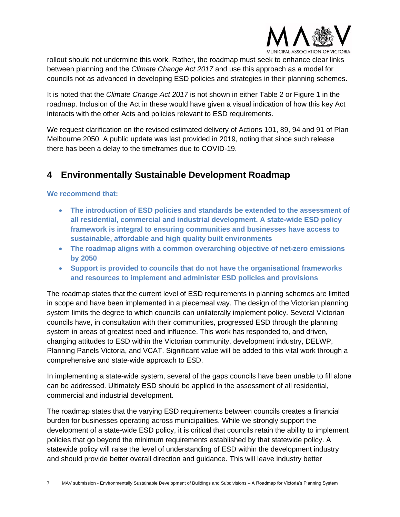

rollout should not undermine this work. Rather, the roadmap must seek to enhance clear links between planning and the *Climate Change Act 2017* and use this approach as a model for councils not as advanced in developing ESD policies and strategies in their planning schemes.

It is noted that the *Climate Change Act 2017* is not shown in either Table 2 or Figure 1 in the roadmap. Inclusion of the Act in these would have given a visual indication of how this key Act interacts with the other Acts and policies relevant to ESD requirements.

We request clarification on the revised estimated delivery of Actions 101, 89, 94 and 91 of Plan Melbourne 2050. A public update was last provided in 2019, noting that since such release there has been a delay to the timeframes due to COVID-19.

## <span id="page-6-0"></span>**4 Environmentally Sustainable Development Roadmap**

**We recommend that:**

- **The introduction of ESD policies and standards be extended to the assessment of all residential, commercial and industrial development. A state-wide ESD policy framework is integral to ensuring communities and businesses have access to sustainable, affordable and high quality built environments**
- **The roadmap aligns with a common overarching objective of net-zero emissions by 2050**
- **Support is provided to councils that do not have the organisational frameworks and resources to implement and administer ESD policies and provisions**

The roadmap states that the current level of ESD requirements in planning schemes are limited in scope and have been implemented in a piecemeal way. The design of the Victorian planning system limits the degree to which councils can unilaterally implement policy. Several Victorian councils have, in consultation with their communities, progressed ESD through the planning system in areas of greatest need and influence. This work has responded to, and driven, changing attitudes to ESD within the Victorian community, development industry, DELWP, Planning Panels Victoria, and VCAT. Significant value will be added to this vital work through a comprehensive and state-wide approach to ESD.

In implementing a state-wide system, several of the gaps councils have been unable to fill alone can be addressed. Ultimately ESD should be applied in the assessment of all residential, commercial and industrial development.

The roadmap states that the varying ESD requirements between councils creates a financial burden for businesses operating across municipalities. While we strongly support the development of a state-wide ESD policy, it is critical that councils retain the ability to implement policies that go beyond the minimum requirements established by that statewide policy. A statewide policy will raise the level of understanding of ESD within the development industry and should provide better overall direction and guidance. This will leave industry better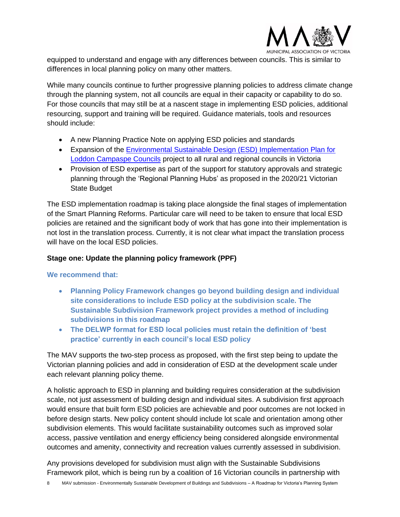

equipped to understand and engage with any differences between councils. This is similar to differences in local planning policy on many other matters.

While many councils continue to further progressive planning policies to address climate change through the planning system, not all councils are equal in their capacity or capability to do so. For those councils that may still be at a nascent stage in implementing ESD policies, additional resourcing, support and training will be required. Guidance materials, tools and resources should include:

- A new Planning Practice Note on applying ESD policies and standards
- Expansion of the [Environmental Sustainable Design \(ESD\) Implementation Plan for](https://www.casbe.org.au/news/delivering-environmental-sustainable-design-esd-services-into-loddon-campaspe-local-governments/)  [Loddon Campaspe Councils](https://www.casbe.org.au/news/delivering-environmental-sustainable-design-esd-services-into-loddon-campaspe-local-governments/) project to all rural and regional councils in Victoria
- Provision of ESD expertise as part of the support for statutory approvals and strategic planning through the 'Regional Planning Hubs' as proposed in the 2020/21 Victorian State Budget

The ESD implementation roadmap is taking place alongside the final stages of implementation of the Smart Planning Reforms. Particular care will need to be taken to ensure that local ESD policies are retained and the significant body of work that has gone into their implementation is not lost in the translation process. Currently, it is not clear what impact the translation process will have on the local ESD policies.

## <span id="page-7-0"></span>**Stage one: Update the planning policy framework (PPF)**

## **We recommend that:**

- **Planning Policy Framework changes go beyond building design and individual site considerations to include ESD policy at the subdivision scale. The Sustainable Subdivision Framework project provides a method of including subdivisions in this roadmap**
- **The DELWP format for ESD local policies must retain the definition of 'best practice' currently in each council's local ESD policy**

The MAV supports the two-step process as proposed, with the first step being to update the Victorian planning policies and add in consideration of ESD at the development scale under each relevant planning policy theme.

A holistic approach to ESD in planning and building requires consideration at the subdivision scale, not just assessment of building design and individual sites. A subdivision first approach would ensure that built form ESD policies are achievable and poor outcomes are not locked in before design starts. New policy content should include lot scale and orientation among other subdivision elements. This would facilitate sustainability outcomes such as improved solar access, passive ventilation and energy efficiency being considered alongside environmental outcomes and amenity, connectivity and recreation values currently assessed in subdivision.

Any provisions developed for subdivision must align with the Sustainable Subdivisions Framework pilot, which is being run by a coalition of 16 Victorian councils in partnership with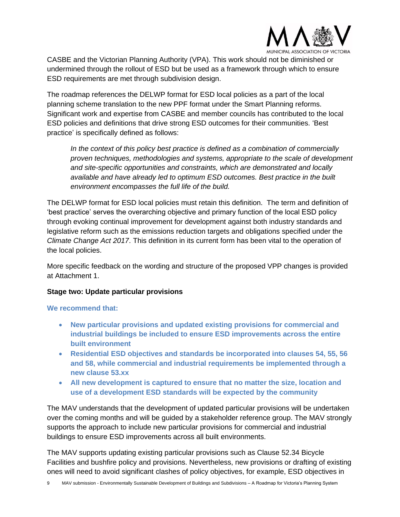

CASBE and the Victorian Planning Authority (VPA). This work should not be diminished or undermined through the rollout of ESD but be used as a framework through which to ensure ESD requirements are met through subdivision design.

The roadmap references the DELWP format for ESD local policies as a part of the local planning scheme translation to the new PPF format under the Smart Planning reforms. Significant work and expertise from CASBE and member councils has contributed to the local ESD policies and definitions that drive strong ESD outcomes for their communities. 'Best practice' is specifically defined as follows:

*In the context of this policy best practice is defined as a combination of commercially proven techniques, methodologies and systems, appropriate to the scale of development and site-specific opportunities and constraints, which are demonstrated and locally available and have already led to optimum ESD outcomes. Best practice in the built environment encompasses the full life of the build.*

The DELWP format for ESD local policies must retain this definition. The term and definition of 'best practice' serves the overarching objective and primary function of the local ESD policy through evoking continual improvement for development against both industry standards and legislative reform such as the emissions reduction targets and obligations specified under the *Climate Change Act 2017*. This definition in its current form has been vital to the operation of the local policies.

More specific feedback on the wording and structure of the proposed VPP changes is provided at Attachment 1.

## <span id="page-8-0"></span>**Stage two: Update particular provisions**

## **We recommend that:**

- **New particular provisions and updated existing provisions for commercial and industrial buildings be included to ensure ESD improvements across the entire built environment**
- **Residential ESD objectives and standards be incorporated into clauses 54, 55, 56 and 58, while commercial and industrial requirements be implemented through a new clause 53.xx**
- **All new development is captured to ensure that no matter the size, location and use of a development ESD standards will be expected by the community**

The MAV understands that the development of updated particular provisions will be undertaken over the coming months and will be guided by a stakeholder reference group. The MAV strongly supports the approach to include new particular provisions for commercial and industrial buildings to ensure ESD improvements across all built environments.

The MAV supports updating existing particular provisions such as Clause 52.34 Bicycle Facilities and bushfire policy and provisions. Nevertheless, new provisions or drafting of existing ones will need to avoid significant clashes of policy objectives, for example, ESD objectives in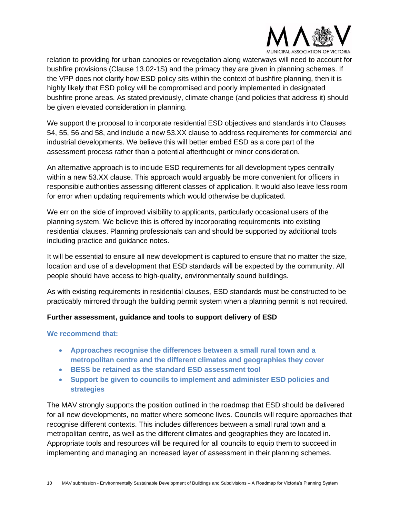

relation to providing for urban canopies or revegetation along waterways will need to account for bushfire provisions (Clause 13.02-1S) and the primacy they are given in planning schemes. If the VPP does not clarify how ESD policy sits within the context of bushfire planning, then it is highly likely that ESD policy will be compromised and poorly implemented in designated bushfire prone areas. As stated previously, climate change (and policies that address it) should be given elevated consideration in planning.

We support the proposal to incorporate residential ESD objectives and standards into Clauses 54, 55, 56 and 58, and include a new 53.XX clause to address requirements for commercial and industrial developments. We believe this will better embed ESD as a core part of the assessment process rather than a potential afterthought or minor consideration.

An alternative approach is to include ESD requirements for all development types centrally within a new 53.XX clause. This approach would arguably be more convenient for officers in responsible authorities assessing different classes of application. It would also leave less room for error when updating requirements which would otherwise be duplicated.

We err on the side of improved visibility to applicants, particularly occasional users of the planning system. We believe this is offered by incorporating requirements into existing residential clauses. Planning professionals can and should be supported by additional tools including practice and guidance notes.

It will be essential to ensure all new development is captured to ensure that no matter the size, location and use of a development that ESD standards will be expected by the community. All people should have access to high-quality, environmentally sound buildings.

As with existing requirements in residential clauses, ESD standards must be constructed to be practicably mirrored through the building permit system when a planning permit is not required.

## <span id="page-9-0"></span>**Further assessment, guidance and tools to support delivery of ESD**

## **We recommend that:**

- **Approaches recognise the differences between a small rural town and a metropolitan centre and the different climates and geographies they cover**
- **BESS be retained as the standard ESD assessment tool**
- **Support be given to councils to implement and administer ESD policies and strategies**

The MAV strongly supports the position outlined in the roadmap that ESD should be delivered for all new developments, no matter where someone lives. Councils will require approaches that recognise different contexts. This includes differences between a small rural town and a metropolitan centre, as well as the different climates and geographies they are located in. Appropriate tools and resources will be required for all councils to equip them to succeed in implementing and managing an increased layer of assessment in their planning schemes.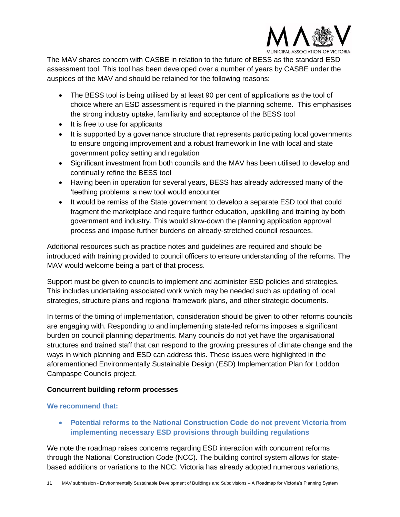

The MAV shares concern with CASBE in relation to the future of BESS as the standard ESD assessment tool. This tool has been developed over a number of years by CASBE under the auspices of the MAV and should be retained for the following reasons:

- The BESS tool is being utilised by at least 90 per cent of applications as the tool of choice where an ESD assessment is required in the planning scheme. This emphasises the strong industry uptake, familiarity and acceptance of the BESS tool
- It is free to use for applicants
- It is supported by a governance structure that represents participating local governments to ensure ongoing improvement and a robust framework in line with local and state government policy setting and regulation
- Significant investment from both councils and the MAV has been utilised to develop and continually refine the BESS tool
- Having been in operation for several years, BESS has already addressed many of the 'teething problems' a new tool would encounter
- It would be remiss of the State government to develop a separate ESD tool that could fragment the marketplace and require further education, upskilling and training by both government and industry. This would slow-down the planning application approval process and impose further burdens on already-stretched council resources.

Additional resources such as practice notes and guidelines are required and should be introduced with training provided to council officers to ensure understanding of the reforms. The MAV would welcome being a part of that process.

Support must be given to councils to implement and administer ESD policies and strategies. This includes undertaking associated work which may be needed such as updating of local strategies, structure plans and regional framework plans, and other strategic documents.

In terms of the timing of implementation, consideration should be given to other reforms councils are engaging with. Responding to and implementing state-led reforms imposes a significant burden on council planning departments. Many councils do not yet have the organisational structures and trained staff that can respond to the growing pressures of climate change and the ways in which planning and ESD can address this. These issues were highlighted in the aforementioned Environmentally Sustainable Design (ESD) Implementation Plan for Loddon Campaspe Councils project.

## <span id="page-10-0"></span>**Concurrent building reform processes**

## **We recommend that:**

• **Potential reforms to the National Construction Code do not prevent Victoria from implementing necessary ESD provisions through building regulations**

We note the roadmap raises concerns regarding ESD interaction with concurrent reforms through the National Construction Code (NCC). The building control system allows for statebased additions or variations to the NCC. Victoria has already adopted numerous variations,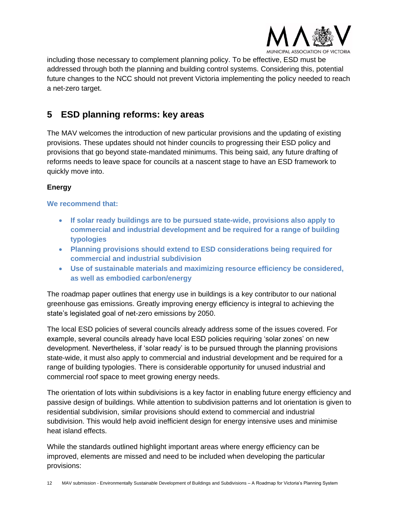

including those necessary to complement planning policy. To be effective, ESD must be addressed through both the planning and building control systems. Considering this, potential future changes to the NCC should not prevent Victoria implementing the policy needed to reach a net-zero target.

## <span id="page-11-0"></span>**5 ESD planning reforms: key areas**

The MAV welcomes the introduction of new particular provisions and the updating of existing provisions. These updates should not hinder councils to progressing their ESD policy and provisions that go beyond state-mandated minimums. This being said, any future drafting of reforms needs to leave space for councils at a nascent stage to have an ESD framework to quickly move into.

## <span id="page-11-1"></span>**Energy**

## **We recommend that:**

- **If solar ready buildings are to be pursued state-wide, provisions also apply to commercial and industrial development and be required for a range of building typologies**
- **Planning provisions should extend to ESD considerations being required for commercial and industrial subdivision**
- **Use of sustainable materials and maximizing resource efficiency be considered, as well as embodied carbon/energy**

The roadmap paper outlines that energy use in buildings is a key contributor to our national greenhouse gas emissions. Greatly improving energy efficiency is integral to achieving the state's legislated goal of net-zero emissions by 2050.

The local ESD policies of several councils already address some of the issues covered. For example, several councils already have local ESD policies requiring 'solar zones' on new development. Nevertheless, if 'solar ready' is to be pursued through the planning provisions state-wide, it must also apply to commercial and industrial development and be required for a range of building typologies. There is considerable opportunity for unused industrial and commercial roof space to meet growing energy needs.

The orientation of lots within subdivisions is a key factor in enabling future energy efficiency and passive design of buildings. While attention to subdivision patterns and lot orientation is given to residential subdivision, similar provisions should extend to commercial and industrial subdivision. This would help avoid inefficient design for energy intensive uses and minimise heat island effects.

While the standards outlined highlight important areas where energy efficiency can be improved, elements are missed and need to be included when developing the particular provisions: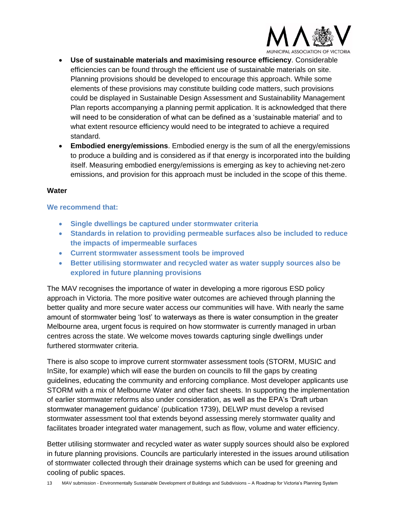

- **Use of sustainable materials and maximising resource efficiency**. Considerable efficiencies can be found through the efficient use of sustainable materials on site. Planning provisions should be developed to encourage this approach. While some elements of these provisions may constitute building code matters, such provisions could be displayed in Sustainable Design Assessment and Sustainability Management Plan reports accompanying a planning permit application. It is acknowledged that there will need to be consideration of what can be defined as a 'sustainable material' and to what extent resource efficiency would need to be integrated to achieve a required standard.
- **Embodied energy/emissions**. Embodied energy is the sum of all the energy/emissions to produce a building and is considered as if that energy is incorporated into the building itself. Measuring embodied energy/emissions is emerging as key to achieving net-zero emissions, and provision for this approach must be included in the scope of this theme.

#### <span id="page-12-0"></span>**Water**

## **We recommend that:**

- **Single dwellings be captured under stormwater criteria**
- **Standards in relation to providing permeable surfaces also be included to reduce the impacts of impermeable surfaces**
- **Current stormwater assessment tools be improved**
- **Better utilising stormwater and recycled water as water supply sources also be explored in future planning provisions**

The MAV recognises the importance of water in developing a more rigorous ESD policy approach in Victoria. The more positive water outcomes are achieved through planning the better quality and more secure water access our communities will have. With nearly the same amount of stormwater being 'lost' to waterways as there is water consumption in the greater Melbourne area, urgent focus is required on how stormwater is currently managed in urban centres across the state. We welcome moves towards capturing single dwellings under furthered stormwater criteria.

There is also scope to improve current stormwater assessment tools (STORM, MUSIC and InSite, for example) which will ease the burden on councils to fill the gaps by creating guidelines, educating the community and enforcing compliance. Most developer applicants use STORM with a mix of Melbourne Water and other fact sheets. In supporting the implementation of earlier stormwater reforms also under consideration, as well as the EPA's 'Draft urban stormwater management guidance' (publication 1739), DELWP must develop a revised stormwater assessment tool that extends beyond assessing merely stormwater quality and facilitates broader integrated water management, such as flow, volume and water efficiency.

Better utilising stormwater and recycled water as water supply sources should also be explored in future planning provisions. Councils are particularly interested in the issues around utilisation of stormwater collected through their drainage systems which can be used for greening and cooling of public spaces.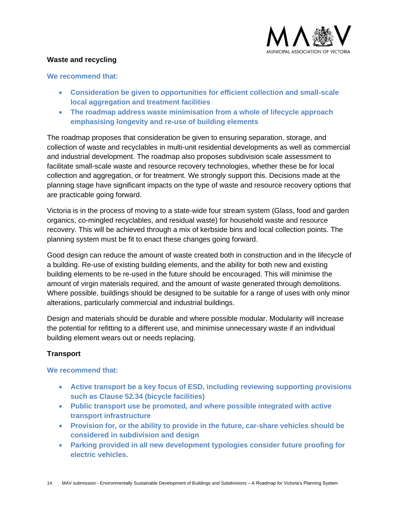

## <span id="page-13-0"></span>**Waste and recycling**

#### **We recommend that:**

- **Consideration be given to opportunities for efficient collection and small-scale local aggregation and treatment facilities**
- **The roadmap address waste minimisation from a whole of lifecycle approach emphasising longevity and re-use of building elements**

The roadmap proposes that consideration be given to ensuring separation, storage, and collection of waste and recyclables in multi-unit residential developments as well as commercial and industrial development. The roadmap also proposes subdivision scale assessment to facilitate small-scale waste and resource recovery technologies, whether these be for local collection and aggregation, or for treatment. We strongly support this. Decisions made at the planning stage have significant impacts on the type of waste and resource recovery options that are practicable going forward.

Victoria is in the process of moving to a state-wide four stream system (Glass, food and garden organics, co-mingled recyclables, and residual waste) for household waste and resource recovery. This will be achieved through a mix of kerbside bins and local collection points. The planning system must be fit to enact these changes going forward.

Good design can reduce the amount of waste created both in construction and in the lifecycle of a building. Re-use of existing building elements, and the ability for both new and existing building elements to be re-used in the future should be encouraged. This will minimise the amount of virgin materials required, and the amount of waste generated through demolitions. Where possible, buildings should be designed to be suitable for a range of uses with only minor alterations, particularly commercial and industrial buildings.

Design and materials should be durable and where possible modular. Modularity will increase the potential for refitting to a different use, and minimise unnecessary waste if an individual building element wears out or needs replacing.

## <span id="page-13-1"></span>**Transport**

#### **We recommend that:**

- **Active transport be a key focus of ESD, including reviewing supporting provisions such as Clause 52.34 (bicycle facilities)**
- **Public transport use be promoted, and where possible integrated with active transport infrastructure**
- **Provision for, or the ability to provide in the future, car-share vehicles should be considered in subdivision and design**
- **Parking provided in all new development typologies consider future proofing for electric vehicles.**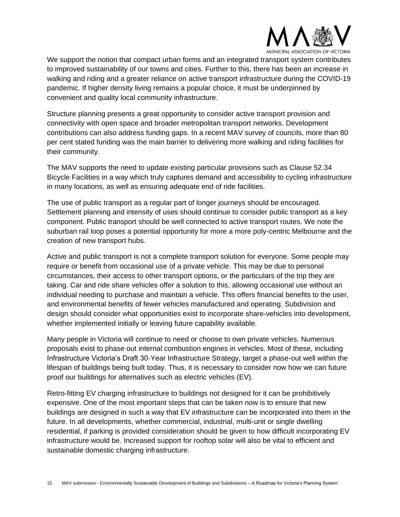

We support the notion that compact urban forms and an integrated transport system contributes to improved sustainability of our towns and cities. Further to this, there has been an increase in walking and riding and a greater reliance on active transport infrastructure during the COVID-19 pandemic. If higher density living remains a popular choice, it must be underpinned by convenient and quality local community infrastructure.

Structure planning presents a great opportunity to consider active transport provision and connectivity with open space and broader metropolitan transport networks. Development contributions can also address funding gaps. In a recent MAV survey of councils, more than 80 per cent stated funding was the main barrier to delivering more walking and riding facilities for their community.

The MAV supports the need to update existing particular provisions such as Clause 52.34 Bicycle Facilities in a way which truly captures demand and accessibility to cycling infrastructure in many locations, as well as ensuring adequate end of ride facilities.

The use of public transport as a regular part of longer journeys should be encouraged. Settlement planning and intensity of uses should continue to consider public transport as a key component. Public transport should be well connected to active transport routes. We note the suburban rail loop poses a potential opportunity for more a more poly-centric Melbourne and the creation of new transport hubs.

Active and public transport is not a complete transport solution for everyone. Some people may require or benefit from occasional use of a private vehicle. This may be due to personal circumstances, their access to other transport options, or the particulars of the trip they are taking. Car and ride share vehicles offer a solution to this, allowing occasional use without an individual needing to purchase and maintain a vehicle. This offers financial benefits to the user, and environmental benefits of fewer vehicles manufactured and operating. Subdivision and design should consider what opportunities exist to incorporate share-vehicles into development, whether implemented initially or leaving future capability available.

Many people in Victoria will continue to need or choose to own private vehicles. Numerous proposals exist to phase out internal combustion engines in vehicles. Most of these, including Infrastructure Victoria's Draft 30-Year Infrastructure Strategy, target a phase-out well within the lifespan of buildings being built today. Thus, it is necessary to consider now how we can future proof our buildings for alternatives such as electric vehicles (EV).

Retro-fitting EV charging infrastructure to buildings not designed for it can be prohibitively expensive. One of the most important steps that can be taken now is to ensure that new buildings are designed in such a way that EV infrastructure can be incorporated into them in the future. In all developments, whether commercial, industrial, multi-unit or single dwelling residential, if parking is provided consideration should be given to how difficult incorporating EV infrastructure would be. Increased support for rooftop solar will also be vital to efficient and sustainable domestic charging infrastructure.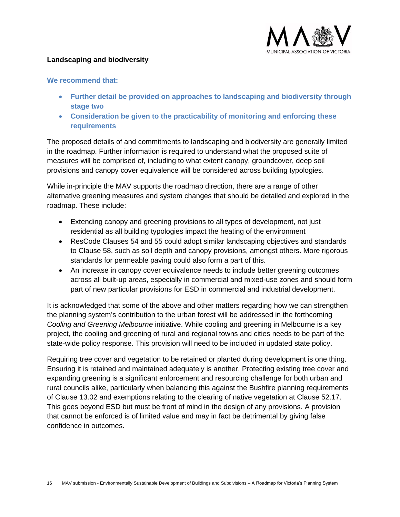## <span id="page-15-0"></span>**Landscaping and biodiversity**



#### **We recommend that:**

- **Further detail be provided on approaches to landscaping and biodiversity through stage two**
- **Consideration be given to the practicability of monitoring and enforcing these requirements**

The proposed details of and commitments to landscaping and biodiversity are generally limited in the roadmap. Further information is required to understand what the proposed suite of measures will be comprised of, including to what extent canopy, groundcover, deep soil provisions and canopy cover equivalence will be considered across building typologies.

While in-principle the MAV supports the roadmap direction, there are a range of other alternative greening measures and system changes that should be detailed and explored in the roadmap. These include:

- Extending canopy and greening provisions to all types of development, not just residential as all building typologies impact the heating of the environment
- ResCode Clauses 54 and 55 could adopt similar landscaping objectives and standards to Clause 58, such as soil depth and canopy provisions, amongst others. More rigorous standards for permeable paving could also form a part of this.
- An increase in canopy cover equivalence needs to include better greening outcomes across all built-up areas, especially in commercial and mixed-use zones and should form part of new particular provisions for ESD in commercial and industrial development.

It is acknowledged that some of the above and other matters regarding how we can strengthen the planning system's contribution to the urban forest will be addressed in the forthcoming *Cooling and Greening Melbourne* initiative. While cooling and greening in Melbourne is a key project, the cooling and greening of rural and regional towns and cities needs to be part of the state-wide policy response. This provision will need to be included in updated state policy.

Requiring tree cover and vegetation to be retained or planted during development is one thing. Ensuring it is retained and maintained adequately is another. Protecting existing tree cover and expanding greening is a significant enforcement and resourcing challenge for both urban and rural councils alike, particularly when balancing this against the Bushfire planning requirements of Clause 13.02 and exemptions relating to the clearing of native vegetation at Clause 52.17. This goes beyond ESD but must be front of mind in the design of any provisions. A provision that cannot be enforced is of limited value and may in fact be detrimental by giving false confidence in outcomes.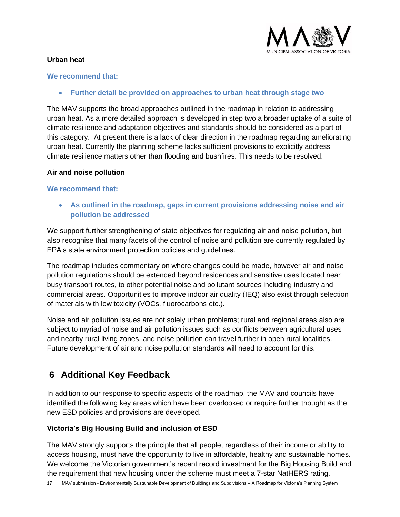

## <span id="page-16-0"></span>**Urban heat**

#### **We recommend that:**

• **Further detail be provided on approaches to urban heat through stage two**

The MAV supports the broad approaches outlined in the roadmap in relation to addressing urban heat. As a more detailed approach is developed in step two a broader uptake of a suite of climate resilience and adaptation objectives and standards should be considered as a part of this category. At present there is a lack of clear direction in the roadmap regarding ameliorating urban heat. Currently the planning scheme lacks sufficient provisions to explicitly address climate resilience matters other than flooding and bushfires. This needs to be resolved.

## <span id="page-16-1"></span>**Air and noise pollution**

## **We recommend that:**

• **As outlined in the roadmap, gaps in current provisions addressing noise and air pollution be addressed**

We support further strengthening of state objectives for regulating air and noise pollution, but also recognise that many facets of the control of noise and pollution are currently regulated by EPA's state environment protection policies and guidelines.

The roadmap includes commentary on where changes could be made, however air and noise pollution regulations should be extended beyond residences and sensitive uses located near busy transport routes, to other potential noise and pollutant sources including industry and commercial areas. Opportunities to improve indoor air quality (IEQ) also exist through selection of materials with low toxicity (VOCs, fluorocarbons etc.).

Noise and air pollution issues are not solely urban problems; rural and regional areas also are subject to myriad of noise and air pollution issues such as conflicts between agricultural uses and nearby rural living zones, and noise pollution can travel further in open rural localities. Future development of air and noise pollution standards will need to account for this.

## <span id="page-16-2"></span>**6 Additional Key Feedback**

In addition to our response to specific aspects of the roadmap, the MAV and councils have identified the following key areas which have been overlooked or require further thought as the new ESD policies and provisions are developed.

## <span id="page-16-3"></span>**Victoria's Big Housing Build and inclusion of ESD**

The MAV strongly supports the principle that all people, regardless of their income or ability to access housing, must have the opportunity to live in affordable, healthy and sustainable homes. We welcome the Victorian government's recent record investment for the Big Housing Build and the requirement that new housing under the scheme must meet a 7-star NatHERS rating.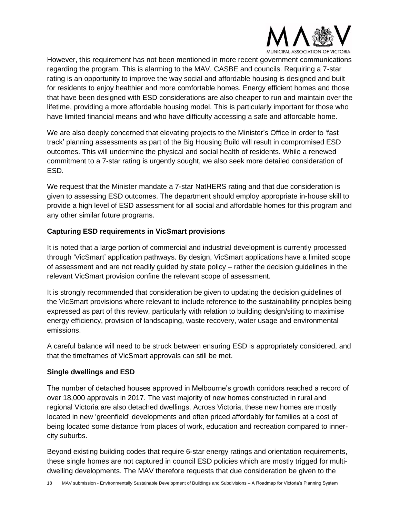

However, this requirement has not been mentioned in more recent government communications regarding the program. This is alarming to the MAV, CASBE and councils. Requiring a 7-star rating is an opportunity to improve the way social and affordable housing is designed and built for residents to enjoy healthier and more comfortable homes. Energy efficient homes and those that have been designed with ESD considerations are also cheaper to run and maintain over the lifetime, providing a more affordable housing model. This is particularly important for those who have limited financial means and who have difficulty accessing a safe and affordable home.

We are also deeply concerned that elevating projects to the Minister's Office in order to 'fast track' planning assessments as part of the Big Housing Build will result in compromised ESD outcomes. This will undermine the physical and social health of residents. While a renewed commitment to a 7-star rating is urgently sought, we also seek more detailed consideration of ESD.

We request that the Minister mandate a 7-star NatHERS rating and that due consideration is given to assessing ESD outcomes. The department should employ appropriate in-house skill to provide a high level of ESD assessment for all social and affordable homes for this program and any other similar future programs.

## <span id="page-17-0"></span>**Capturing ESD requirements in VicSmart provisions**

It is noted that a large portion of commercial and industrial development is currently processed through 'VicSmart' application pathways. By design, VicSmart applications have a limited scope of assessment and are not readily guided by state policy – rather the decision guidelines in the relevant VicSmart provision confine the relevant scope of assessment.

It is strongly recommended that consideration be given to updating the decision guidelines of the VicSmart provisions where relevant to include reference to the sustainability principles being expressed as part of this review, particularly with relation to building design/siting to maximise energy efficiency, provision of landscaping, waste recovery, water usage and environmental emissions.

A careful balance will need to be struck between ensuring ESD is appropriately considered, and that the timeframes of VicSmart approvals can still be met.

## <span id="page-17-1"></span>**Single dwellings and ESD**

The number of detached houses approved in Melbourne's growth corridors reached a record of over 18,000 approvals in 2017. The vast majority of new homes constructed in rural and regional Victoria are also detached dwellings. Across Victoria, these new homes are mostly located in new 'greenfield' developments and often priced affordably for families at a cost of being located some distance from places of work, education and recreation compared to innercity suburbs.

Beyond existing building codes that require 6-star energy ratings and orientation requirements, these single homes are not captured in council ESD policies which are mostly trigged for multidwelling developments. The MAV therefore requests that due consideration be given to the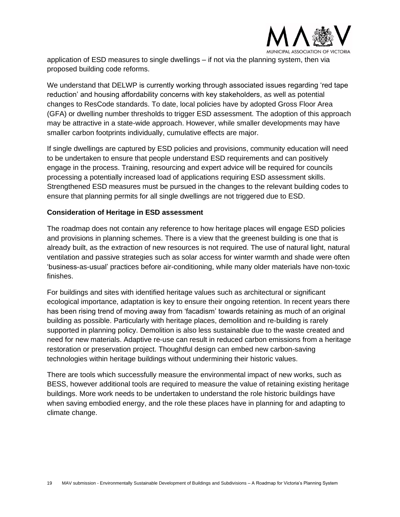

application of ESD measures to single dwellings – if not via the planning system, then via proposed building code reforms.

We understand that DELWP is currently working through associated issues regarding 'red tape reduction' and housing affordability concerns with key stakeholders, as well as potential changes to ResCode standards. To date, local policies have by adopted Gross Floor Area (GFA) or dwelling number thresholds to trigger ESD assessment. The adoption of this approach may be attractive in a state-wide approach. However, while smaller developments may have smaller carbon footprints individually, cumulative effects are major.

If single dwellings are captured by ESD policies and provisions, community education will need to be undertaken to ensure that people understand ESD requirements and can positively engage in the process. Training, resourcing and expert advice will be required for councils processing a potentially increased load of applications requiring ESD assessment skills. Strengthened ESD measures must be pursued in the changes to the relevant building codes to ensure that planning permits for all single dwellings are not triggered due to ESD.

## <span id="page-18-0"></span>**Consideration of Heritage in ESD assessment**

The roadmap does not contain any reference to how heritage places will engage ESD policies and provisions in planning schemes. There is a view that the greenest building is one that is already built, as the extraction of new resources is not required. The use of natural light, natural ventilation and passive strategies such as solar access for winter warmth and shade were often 'business-as-usual' practices before air-conditioning, while many older materials have non-toxic finishes.

For buildings and sites with identified heritage values such as architectural or significant ecological importance, adaptation is key to ensure their ongoing retention. In recent years there has been rising trend of moving away from 'facadism' towards retaining as much of an original building as possible. Particularly with heritage places, demolition and re-building is rarely supported in planning policy. Demolition is also less sustainable due to the waste created and need for new materials. Adaptive re-use can result in reduced carbon emissions from a heritage restoration or preservation project. Thoughtful design can embed new carbon-saving technologies within heritage buildings without undermining their historic values.

There are tools which successfully measure the environmental impact of new works, such as BESS, however additional tools are required to measure the value of retaining existing heritage buildings. More work needs to be undertaken to understand the role historic buildings have when saving embodied energy, and the role these places have in planning for and adapting to climate change.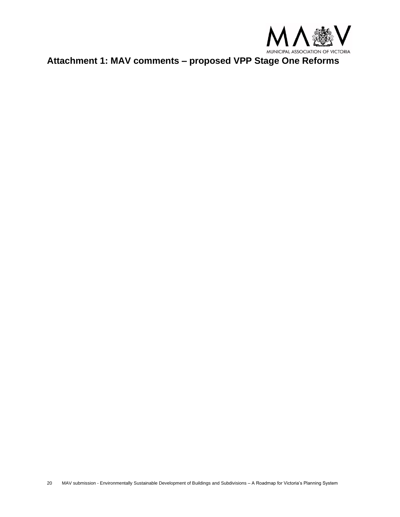

<span id="page-19-0"></span>**Attachment 1: MAV comments – proposed VPP Stage One Reforms**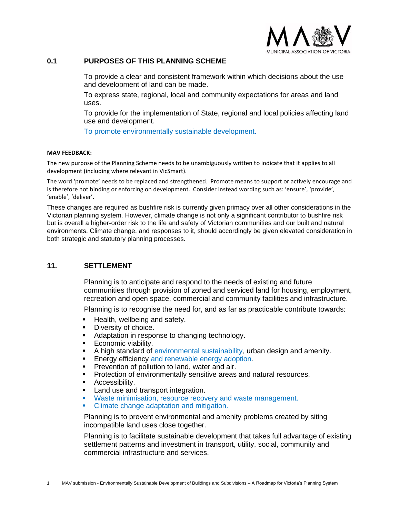

## **0.1 PURPOSES OF THIS PLANNING SCHEME**

To provide a clear and consistent framework within which decisions about the use and development of land can be made.

To express state, regional, local and community expectations for areas and land uses.

To provide for the implementation of State, regional and local policies affecting land use and development.

To promote environmentally sustainable development.

#### **MAV FEEDBACK:**

The new purpose of the Planning Scheme needs to be unambiguously written to indicate that it applies to all development (including where relevant in VicSmart).

The word 'promote' needs to be replaced and strengthened. Promote means to support or actively encourage and is therefore not binding or enforcing on development. Consider instead wording such as: 'ensure', 'provide', 'enable', 'deliver'.

These changes are required as bushfire risk is currently given primacy over all other considerations in the Victorian planning system. However, climate change is not only a significant contributor to bushfire risk but is overall a higher-order risk to the life and safety of Victorian communities and our built and natural environments. Climate change, and responses to it, should accordingly be given elevated consideration in both strategic and statutory planning processes.

### **11. SETTLEMENT**

Planning is to anticipate and respond to the needs of existing and future communities through provision of zoned and serviced land for housing, employment, recreation and open space, commercial and community facilities and infrastructure.

Planning is to recognise the need for, and as far as practicable contribute towards:

- **EXEC** Health, wellbeing and safety.
- Diversity of choice.
- Adaptation in response to changing technology.
- Economic viability.
- **E** A high standard of environmental sustainability, urban design and amenity.
- **Energy efficiency and renewable energy adoption.**
- **Prevention of pollution to land, water and air.**
- **Protection of environmentally sensitive areas and natural resources.**
- Accessibility.
- Land use and transport integration.
- Waste minimisation, resource recovery and waste management.
- **Climate change adaptation and mitigation.**

Planning is to prevent environmental and amenity problems created by siting incompatible land uses close together.

Planning is to facilitate sustainable development that takes full advantage of existing settlement patterns and investment in transport, utility, social, community and commercial infrastructure and services.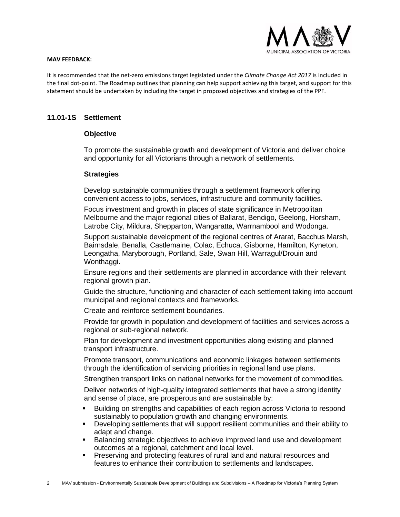

#### **MAV FEEDBACK:**

It is recommended that the net-zero emissions target legislated under the *Climate Change Act 2017* is included in the final dot-point. The Roadmap outlines that planning can help support achieving this target, and support for this statement should be undertaken by including the target in proposed objectives and strategies of the PPF.

### **11.01-1S Settlement**

#### **Objective**

To promote the sustainable growth and development of Victoria and deliver choice and opportunity for all Victorians through a network of settlements.

#### **Strategies**

Develop sustainable communities through a settlement framework offering convenient access to jobs, services, infrastructure and community facilities.

Focus investment and growth in places of state significance in Metropolitan Melbourne and the major regional cities of Ballarat, Bendigo, Geelong, Horsham, Latrobe City, Mildura, Shepparton, Wangaratta, Warrnambool and Wodonga.

Support sustainable development of the regional centres of Ararat, Bacchus Marsh, Bairnsdale, Benalla, Castlemaine, Colac, Echuca, Gisborne, Hamilton, Kyneton, Leongatha, Maryborough, Portland, Sale, Swan Hill, Warragul/Drouin and Wonthaggi.

Ensure regions and their settlements are planned in accordance with their relevant regional growth plan.

Guide the structure, functioning and character of each settlement taking into account municipal and regional contexts and frameworks.

Create and reinforce settlement boundaries.

Provide for growth in population and development of facilities and services across a regional or sub-regional network.

Plan for development and investment opportunities along existing and planned transport infrastructure.

Promote transport, communications and economic linkages between settlements through the identification of servicing priorities in regional land use plans.

Strengthen transport links on national networks for the movement of commodities.

Deliver networks of high-quality integrated settlements that have a strong identity and sense of place, are prosperous and are sustainable by:

- Building on strengths and capabilities of each region across Victoria to respond sustainably to population growth and changing environments.
- Developing settlements that will support resilient communities and their ability to adapt and change.
- Balancing strategic objectives to achieve improved land use and development outcomes at a regional, catchment and local level.
- **•** Preserving and protecting features of rural land and natural resources and features to enhance their contribution to settlements and landscapes.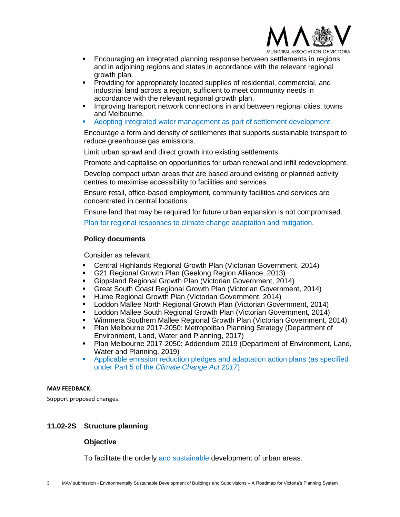

- **Encouraging an integrated planning response between settlements in regions** and in adjoining regions and states in accordance with the relevant regional growth plan.
- **•** Providing for appropriately located supplies of residential, commercial, and industrial land across a region, sufficient to meet community needs in accordance with the relevant regional growth plan.
- **EXECT** Improving transport network connections in and between regional cities, towns and Melbourne.
- Adopting integrated water management as part of settlement development.

Encourage a form and density of settlements that supports sustainable transport to reduce greenhouse gas emissions.

Limit urban sprawl and direct growth into existing settlements.

Promote and capitalise on opportunities for urban renewal and infill redevelopment.

Develop compact urban areas that are based around existing or planned activity centres to maximise accessibility to facilities and services.

Ensure retail, office-based employment, community facilities and services are concentrated in central locations.

Ensure land that may be required for future urban expansion is not compromised.

Plan for regional responses to climate change adaptation and mitigation.

## **Policy documents**

Consider as relevant:

- Central Highlands Regional Growth Plan (Victorian Government, 2014)
- G21 Regional Growth Plan (Geelong Region Alliance, 2013)
- Gippsland Regional Growth Plan (Victorian Government, 2014)
- Great South Coast Regional Growth Plan (Victorian Government, 2014)
- Hume Regional Growth Plan (Victorian Government, 2014)
- Loddon Mallee North Regional Growth Plan (Victorian Government, 2014)
- Loddon Mallee South Regional Growth Plan (Victorian Government, 2014)
- Wimmera Southern Mallee Regional Growth Plan (Victorian Government, 2014)
- Plan Melbourne 2017-2050: Metropolitan Planning Strategy (Department of Environment, Land, Water and Planning, 2017)
- **Plan Melbourne 2017-2050: Addendum 2019 (Department of Environment, Land,** Water and Planning, 2019)
- Applicable emission reduction pledges and adaptation action plans (as specified under Part 5 of the *Climate Change Act 2017*)

#### **MAV FEEDBACK:**

Support proposed changes.

#### **11.02-2S Structure planning**

#### **Objective**

To facilitate the orderly and sustainable development of urban areas.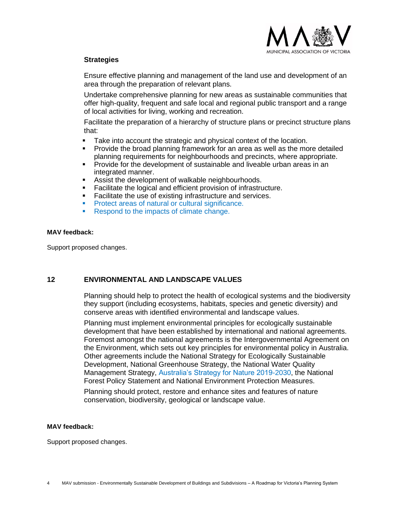

## **Strategies**

Ensure effective planning and management of the land use and development of an area through the preparation of relevant plans.

Undertake comprehensive planning for new areas as sustainable communities that offer high-quality, frequent and safe local and regional public transport and a range of local activities for living, working and recreation.

Facilitate the preparation of a hierarchy of structure plans or precinct structure plans that:

- Take into account the strategic and physical context of the location.
- Provide the broad planning framework for an area as well as the more detailed planning requirements for neighbourhoods and precincts, where appropriate.
- **•** Provide for the development of sustainable and liveable urban areas in an integrated manner.
- Assist the development of walkable neighbourhoods.
- Facilitate the logical and efficient provision of infrastructure.
- Facilitate the use of existing infrastructure and services.
- Protect areas of natural or cultural significance.
- Respond to the impacts of climate change.

#### **MAV feedback:**

Support proposed changes.

#### **12 ENVIRONMENTAL AND LANDSCAPE VALUES**

Planning should help to protect the health of ecological systems and the biodiversity they support (including ecosystems, habitats, species and genetic diversity) and conserve areas with identified environmental and landscape values.

Planning must implement environmental principles for ecologically sustainable development that have been established by international and national agreements. Foremost amongst the national agreements is the Intergovernmental Agreement on the Environment, which sets out key principles for environmental policy in Australia. Other agreements include the National Strategy for Ecologically Sustainable Development, National Greenhouse Strategy, the National Water Quality Management Strategy, Australia's Strategy for Nature 2019-2030, the National Forest Policy Statement and National Environment Protection Measures.

Planning should protect, restore and enhance sites and features of nature conservation, biodiversity, geological or landscape value.

#### **MAV feedback:**

Support proposed changes.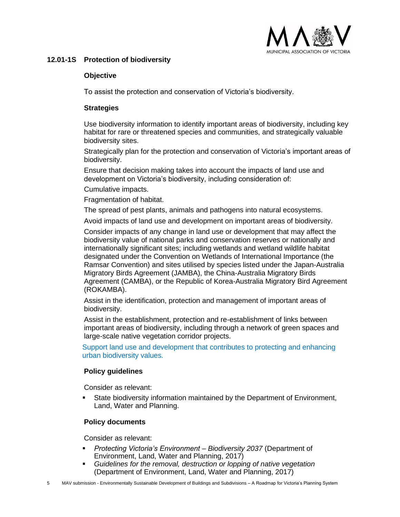

## **12.01-1S Protection of biodiversity**

## **Objective**

To assist the protection and conservation of Victoria's biodiversity.

## **Strategies**

Use biodiversity information to identify important areas of biodiversity, including key habitat for rare or threatened species and communities, and strategically valuable biodiversity sites.

Strategically plan for the protection and conservation of Victoria's important areas of biodiversity.

Ensure that decision making takes into account the impacts of land use and development on Victoria's biodiversity, including consideration of:

Cumulative impacts.

Fragmentation of habitat.

The spread of pest plants, animals and pathogens into natural ecosystems.

Avoid impacts of land use and development on important areas of biodiversity.

Consider impacts of any change in land use or development that may affect the biodiversity value of national parks and conservation reserves or nationally and internationally significant sites; including wetlands and wetland wildlife habitat designated under the Convention on Wetlands of International Importance (the Ramsar Convention) and sites utilised by species listed under the Japan-Australia Migratory Birds Agreement (JAMBA), the China-Australia Migratory Birds Agreement (CAMBA), or the Republic of Korea-Australia Migratory Bird Agreement (ROKAMBA).

Assist in the identification, protection and management of important areas of biodiversity.

Assist in the establishment, protection and re-establishment of links between important areas of biodiversity, including through a network of green spaces and large-scale native vegetation corridor projects.

Support land use and development that contributes to protecting and enhancing urban biodiversity values.

## **Policy guidelines**

Consider as relevant:

**•** State biodiversity information maintained by the Department of Environment, Land, Water and Planning.

## **Policy documents**

Consider as relevant:

- *Protecting Victoria's Environment – Biodiversity 2037* (Department of Environment, Land, Water and Planning, 2017)
- *Guidelines for the removal, destruction or lopping of native vegetation* (Department of Environment, Land, Water and Planning, 2017)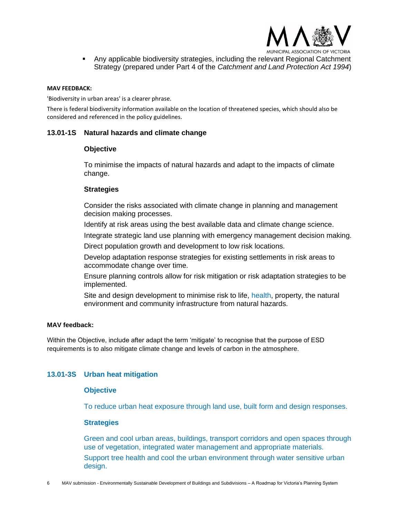

▪ Any applicable biodiversity strategies, including the relevant Regional Catchment Strategy (prepared under Part 4 of the *Catchment and Land Protection Act 1994*)

#### **MAV FEEDBACK:**

'Biodiversity in urban areas' is a clearer phrase.

There is federal biodiversity information available on the location of threatened species, which should also be considered and referenced in the policy guidelines.

#### **13.01-1S Natural hazards and climate change**

#### **Objective**

To minimise the impacts of natural hazards and adapt to the impacts of climate change.

#### **Strategies**

Consider the risks associated with climate change in planning and management decision making processes.

Identify at risk areas using the best available data and climate change science.

Integrate strategic land use planning with emergency management decision making.

Direct population growth and development to low risk locations.

Develop adaptation response strategies for existing settlements in risk areas to accommodate change over time.

Ensure planning controls allow for risk mitigation or risk adaptation strategies to be implemented.

Site and design development to minimise risk to life, health, property, the natural environment and community infrastructure from natural hazards.

#### **MAV feedback:**

Within the Objective, include after adapt the term 'mitigate' to recognise that the purpose of ESD requirements is to also mitigate climate change and levels of carbon in the atmosphere.

## **13.01-3S Urban heat mitigation**

#### **Objective**

To reduce urban heat exposure through land use, built form and design responses.

#### **Strategies**

Green and cool urban areas, buildings, transport corridors and open spaces through use of vegetation, integrated water management and appropriate materials. Support tree health and cool the urban environment through water sensitive urban design.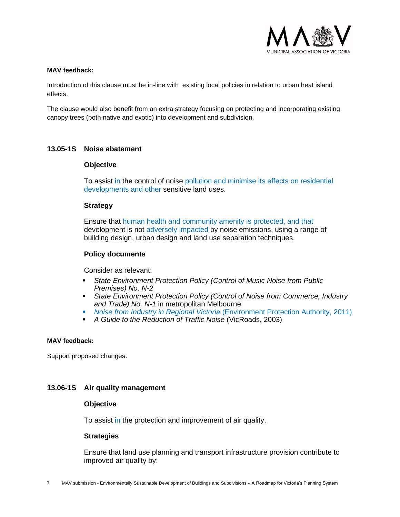

#### **MAV feedback:**

Introduction of this clause must be in-line with existing local policies in relation to urban heat island effects.

The clause would also benefit from an extra strategy focusing on protecting and incorporating existing canopy trees (both native and exotic) into development and subdivision.

#### **13.05-1S Noise abatement**

#### **Objective**

To assist in the control of noise pollution and minimise its effects on residential developments and other sensitive land uses.

#### **Strategy**

Ensure that human health and community amenity is protected, and that development is not adversely impacted by noise emissions, using a range of building design, urban design and land use separation techniques.

#### **Policy documents**

Consider as relevant:

- *State Environment Protection Policy (Control of Music Noise from Public Premises) No. N-2*
- **Example Environment Protection Policy (Control of Noise from Commerce, Industry** *and Trade) No. N-1* in metropolitan Melbourne
- *Noise from Industry in Regional Victoria* (Environment Protection Authority, 2011)
- *A Guide to the Reduction of Traffic Noise* (VicRoads, 2003)

#### **MAV feedback:**

Support proposed changes.

#### **13.06-1S Air quality management**

#### **Objective**

To assist in the protection and improvement of air quality.

#### **Strategies**

Ensure that land use planning and transport infrastructure provision contribute to improved air quality by: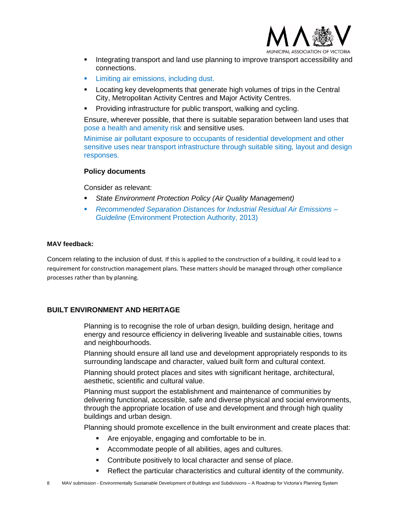

- **•** Integrating transport and land use planning to improve transport accessibility and connections.
- Limiting air emissions, including dust.
- **•** Locating key developments that generate high volumes of trips in the Central City, Metropolitan Activity Centres and Major Activity Centres.
- Providing infrastructure for public transport, walking and cycling.

Ensure, wherever possible, that there is suitable separation between land uses that pose a health and amenity risk and sensitive uses.

Minimise air pollutant exposure to occupants of residential development and other sensitive uses near transport infrastructure through suitable siting, layout and design responses.

#### **Policy documents**

Consider as relevant:

- **State Environment Protection Policy (Air Quality Management)**
- *Recommended Separation Distances for Industrial Residual Air Emissions – Guideline* (Environment Protection Authority, 2013)

### **MAV feedback:**

Concern relating to the inclusion of dust. If this is applied to the construction of a building, it could lead to a requirement for construction management plans. These matters should be managed through other compliance processes rather than by planning.

## **BUILT ENVIRONMENT AND HERITAGE**

Planning is to recognise the role of urban design, building design, heritage and energy and resource efficiency in delivering liveable and sustainable cities, towns and neighbourhoods.

Planning should ensure all land use and development appropriately responds to its surrounding landscape and character, valued built form and cultural context.

Planning should protect places and sites with significant heritage, architectural, aesthetic, scientific and cultural value.

Planning must support the establishment and maintenance of communities by delivering functional, accessible, safe and diverse physical and social environments, through the appropriate location of use and development and through high quality buildings and urban design.

Planning should promote excellence in the built environment and create places that:

- Are enjoyable, engaging and comfortable to be in.
- Accommodate people of all abilities, ages and cultures.
- Contribute positively to local character and sense of place.
- Reflect the particular characteristics and cultural identity of the community.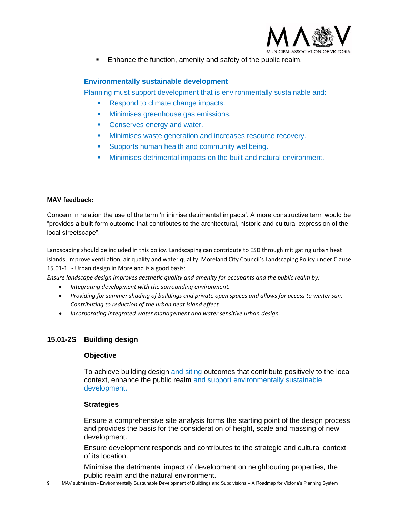

Enhance the function, amenity and safety of the public realm.

## **Environmentally sustainable development**

Planning must support development that is environmentally sustainable and:

- Respond to climate change impacts.
- **■** Minimises greenhouse gas emissions.
- Conserves energy and water.
- **EXECT** Minimises waste generation and increases resource recovery.
- Supports human health and community wellbeing.
- **■** Minimises detrimental impacts on the built and natural environment.

#### **MAV feedback:**

Concern in relation the use of the term 'minimise detrimental impacts'. A more constructive term would be "provides a built form outcome that contributes to the architectural, historic and cultural expression of the local streetscape".

Landscaping should be included in this policy. Landscaping can contribute to ESD through mitigating urban heat islands, improve ventilation, air quality and water quality. Moreland City Council's Landscaping Policy under Clause 15.01-1L - Urban design in Moreland is a good basis:

*Ensure landscape design improves aesthetic quality and amenity for occupants and the public realm by:*

- *Integrating development with the surrounding environment.*
- *Providing for summer shading of buildings and private open spaces and allows for access to winter sun. Contributing to reduction of the urban heat island effect.*
- *Incorporating integrated water management and water sensitive urban design.*

## **15.01-2S Building design**

#### **Objective**

To achieve building design and siting outcomes that contribute positively to the local context, enhance the public realm and support environmentally sustainable development.

#### **Strategies**

Ensure a comprehensive site analysis forms the starting point of the design process and provides the basis for the consideration of height, scale and massing of new development.

Ensure development responds and contributes to the strategic and cultural context of its location.

Minimise the detrimental impact of development on neighbouring properties, the public realm and the natural environment.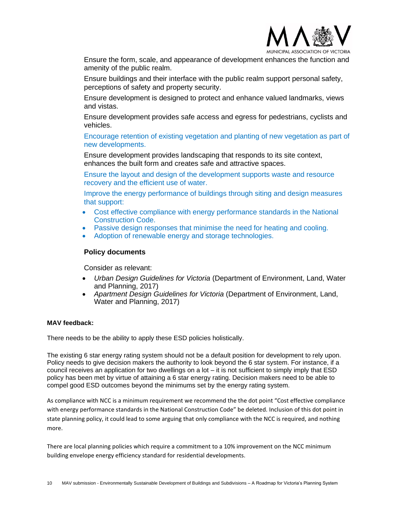

Ensure the form, scale, and appearance of development enhances the function and amenity of the public realm.

Ensure buildings and their interface with the public realm support personal safety, perceptions of safety and property security.

Ensure development is designed to protect and enhance valued landmarks, views and vistas.

Ensure development provides safe access and egress for pedestrians, cyclists and vehicles.

Encourage retention of existing vegetation and planting of new vegetation as part of new developments.

Ensure development provides landscaping that responds to its site context, enhances the built form and creates safe and attractive spaces.

Ensure the layout and design of the development supports waste and resource recovery and the efficient use of water.

Improve the energy performance of buildings through siting and design measures that support:

- Cost effective compliance with energy performance standards in the National Construction Code.
- Passive design responses that minimise the need for heating and cooling.
- Adoption of renewable energy and storage technologies.

#### **Policy documents**

Consider as relevant:

- *Urban Design Guidelines for Victoria* (Department of Environment, Land, Water and Planning, 2017)
- *Apartment Design Guidelines for Victoria* (Department of Environment, Land, Water and Planning, 2017)

#### **MAV feedback:**

There needs to be the ability to apply these ESD policies holistically.

The existing 6 star energy rating system should not be a default position for development to rely upon. Policy needs to give decision makers the authority to look beyond the 6 star system. For instance, if a council receives an application for two dwellings on a lot  $-$  it is not sufficient to simply imply that ESD policy has been met by virtue of attaining a 6 star energy rating. Decision makers need to be able to compel good ESD outcomes beyond the minimums set by the energy rating system.

As compliance with NCC is a minimum requirement we recommend the the dot point "Cost effective compliance with energy performance standards in the National Construction Code" be deleted. Inclusion of this dot point in state planning policy, it could lead to some arguing that only compliance with the NCC is required, and nothing more.

There are local planning policies which require a commitment to a 10% improvement on the NCC minimum building envelope energy efficiency standard for residential developments.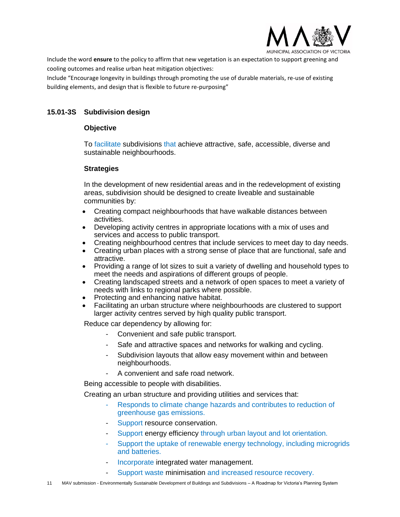

Include the word **ensure** to the policy to affirm that new vegetation is an expectation to support greening and cooling outcomes and realise urban heat mitigation objectives:

Include "Encourage longevity in buildings through promoting the use of durable materials, re-use of existing building elements, and design that is flexible to future re-purposing"

## **15.01-3S Subdivision design**

## **Objective**

To facilitate subdivisions that achieve attractive, safe, accessible, diverse and sustainable neighbourhoods.

## **Strategies**

In the development of new residential areas and in the redevelopment of existing areas, subdivision should be designed to create liveable and sustainable communities by:

- Creating compact neighbourhoods that have walkable distances between activities.
- Developing activity centres in appropriate locations with a mix of uses and services and access to public transport.
- Creating neighbourhood centres that include services to meet day to day needs.
- Creating urban places with a strong sense of place that are functional, safe and attractive.
- Providing a range of lot sizes to suit a variety of dwelling and household types to meet the needs and aspirations of different groups of people.
- Creating landscaped streets and a network of open spaces to meet a variety of needs with links to regional parks where possible.
- Protecting and enhancing native habitat.
- Facilitating an urban structure where neighbourhoods are clustered to support larger activity centres served by high quality public transport.

Reduce car dependency by allowing for:

- Convenient and safe public transport.
- Safe and attractive spaces and networks for walking and cycling.
- Subdivision layouts that allow easy movement within and between neighbourhoods.
- A convenient and safe road network.

Being accessible to people with disabilities.

Creating an urban structure and providing utilities and services that:

- Responds to climate change hazards and contributes to reduction of greenhouse gas emissions.
- Support resource conservation.
- Support energy efficiency through urban layout and lot orientation.
- Support the uptake of renewable energy technology, including microgrids and batteries.
- Incorporate integrated water management.
	- Support waste minimisation and increased resource recovery.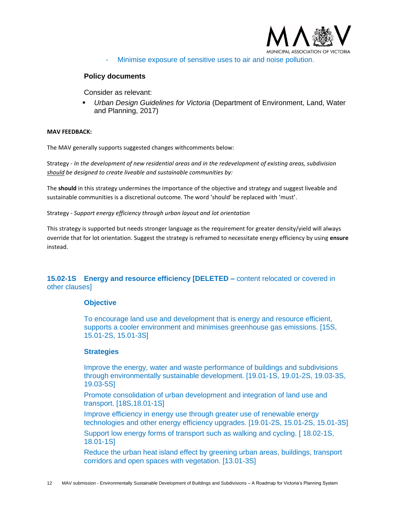

Minimise exposure of sensitive uses to air and noise pollution.

#### **Policy documents**

Consider as relevant:

▪ *Urban Design Guidelines for Victoria* (Department of Environment, Land, Water and Planning, 2017)

#### **MAV FEEDBACK:**

The MAV generally supports suggested changes withcomments below:

Strategy - *In the development of new residential areas and in the redevelopment of existing areas, subdivision should be designed to create liveable and sustainable communities by:*

The **should** in this strategy undermines the importance of the objective and strategy and suggest liveable and sustainable communities is a discretional outcome. The word 'should' be replaced with 'must'.

Strategy - *Support energy efficiency through urban layout and lot orientation*

This strategy is supported but needs stronger language as the requirement for greater density/yield will always override that for lot orientation. Suggest the strategy is reframed to necessitate energy efficiency by using **ensure** instead.

## **15.02-1S Energy and resource efficiency [DELETED –** content relocated or covered in other clauses]

#### **Objective**

To encourage land use and development that is energy and resource efficient, supports a cooler environment and minimises greenhouse gas emissions. [15S, 15.01-2S, 15.01-3S]

#### **Strategies**

Improve the energy, water and waste performance of buildings and subdivisions through environmentally sustainable development. [19.01-1S, 19.01-2S, 19.03-3S, 19.03-5S]

Promote consolidation of urban development and integration of land use and transport. [18S,18.01-1S]

Improve efficiency in energy use through greater use of renewable energy technologies and other energy efficiency upgrades. [19.01-2S, 15.01-2S, 15.01-3S]

Support low energy forms of transport such as walking and cycling. [ 18.02-1S, 18.01-1S]

Reduce the urban heat island effect by greening urban areas, buildings, transport corridors and open spaces with vegetation. [13.01-3S]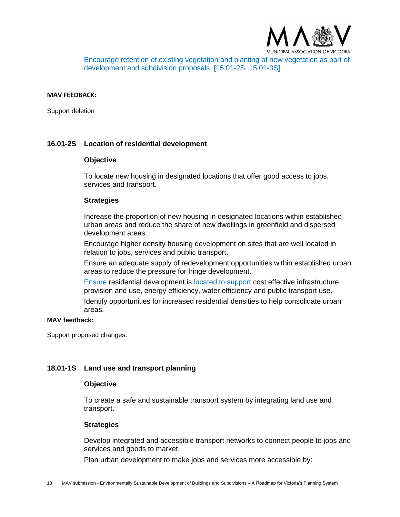

Encourage retention of existing vegetation and planting of new vegetation as part of development and subdivision proposals. [15.01-2S, 15.01-3S]

#### **MAV FEEDBACK:**

Support deletion

#### **16.01-2S Location of residential development**

#### **Objective**

To locate new housing in designated locations that offer good access to jobs, services and transport.

#### **Strategies**

Increase the proportion of new housing in designated locations within established urban areas and reduce the share of new dwellings in greenfield and dispersed development areas.

Encourage higher density housing development on sites that are well located in relation to jobs, services and public transport.

Ensure an adequate supply of redevelopment opportunities within established urban areas to reduce the pressure for fringe development.

Ensure residential development is located to support cost effective infrastructure provision and use, energy efficiency, water efficiency and public transport use.

Identify opportunities for increased residential densities to help consolidate urban areas.

#### **MAV feedback:**

Support proposed changes.

#### **18.01-1S Land use and transport planning**

#### **Objective**

To create a safe and sustainable transport system by integrating land use and transport.

#### **Strategies**

Develop integrated and accessible transport networks to connect people to jobs and services and goods to market.

Plan urban development to make jobs and services more accessible by: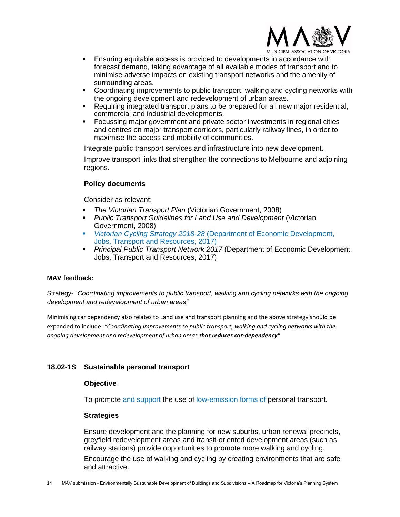

**CIATION OF VICTORIA** 

- **Ensuring equitable access is provided to developments in accordance with** forecast demand, taking advantage of all available modes of transport and to minimise adverse impacts on existing transport networks and the amenity of surrounding areas.
- Coordinating improvements to public transport, walking and cycling networks with the ongoing development and redevelopment of urban areas.
- Requiring integrated transport plans to be prepared for all new major residential, commercial and industrial developments.
- Focussing major government and private sector investments in regional cities and centres on major transport corridors, particularly railway lines, in order to maximise the access and mobility of communities.

Integrate public transport services and infrastructure into new development.

Improve transport links that strengthen the connections to Melbourne and adjoining regions.

## **Policy documents**

Consider as relevant:

- *The Victorian Transport Plan* (Victorian Government, 2008)
- *Public Transport Guidelines for Land Use and Development* (Victorian Government, 2008)
- *Victorian Cycling Strategy 2018-28* (Department of Economic Development, Jobs, Transport and Resources, 2017)
- *Principal Public Transport Network 2017* (Department of Economic Development, Jobs, Transport and Resources, 2017)

#### **MAV feedback:**

Strategy- "*Coordinating improvements to public transport, walking and cycling networks with the ongoing development and redevelopment of urban areas"*

Minimising car dependency also relates to Land use and transport planning and the above strategy should be expanded to include: *"Coordinating improvements to public transport, walking and cycling networks with the ongoing development and redevelopment of urban areas that reduces car-dependency"*

#### **18.02-1S Sustainable personal transport**

#### **Objective**

To promote and support the use of low-emission forms of personal transport.

#### **Strategies**

Ensure development and the planning for new suburbs, urban renewal precincts, greyfield redevelopment areas and transit-oriented development areas (such as railway stations) provide opportunities to promote more walking and cycling.

Encourage the use of walking and cycling by creating environments that are safe and attractive.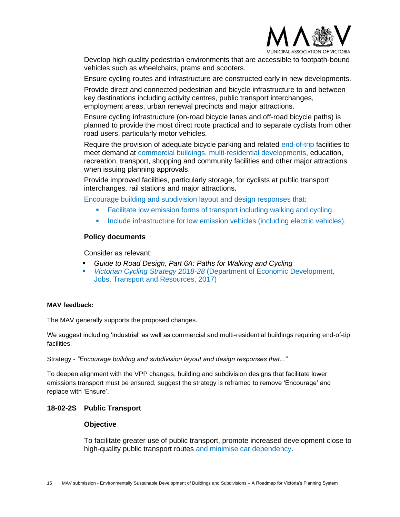

Develop high quality pedestrian environments that are accessible to footpath-bound vehicles such as wheelchairs, prams and scooters.

Ensure cycling routes and infrastructure are constructed early in new developments.

Provide direct and connected pedestrian and bicycle infrastructure to and between key destinations including activity centres, public transport interchanges, employment areas, urban renewal precincts and major attractions.

Ensure cycling infrastructure (on-road bicycle lanes and off-road bicycle paths) is planned to provide the most direct route practical and to separate cyclists from other road users, particularly motor vehicles.

Require the provision of adequate bicycle parking and related end-of-trip facilities to meet demand at commercial buildings, multi-residential developments, education, recreation, transport, shopping and community facilities and other major attractions when issuing planning approvals.

Provide improved facilities, particularly storage, for cyclists at public transport interchanges, rail stations and major attractions.

Encourage building and subdivision layout and design responses that:

- **Eacilitate low emission forms of transport including walking and cycling.**
- **·** Include infrastructure for low emission vehicles (including electric vehicles).

#### **Policy documents**

Consider as relevant:

- *Guide to Road Design, Part 6A: Paths for Walking and Cycling*
- *Victorian Cycling Strategy 2018-28* (Department of Economic Development, Jobs, Transport and Resources, 2017)

#### **MAV feedback:**

The MAV generally supports the proposed changes.

We suggest including 'industrial' as well as commercial and multi-residential buildings requiring end-of-tip facilities.

Strategy - *"Encourage building and subdivision layout and design responses that..."*

To deepen alignment with the VPP changes, building and subdivision designs that facilitate lower emissions transport must be ensured, suggest the strategy is reframed to remove 'Encourage' and replace with 'Ensure'.

#### **18-02-2S Public Transport**

#### **Objective**

To facilitate greater use of public transport, promote increased development close to high-quality public transport routes and minimise car dependency.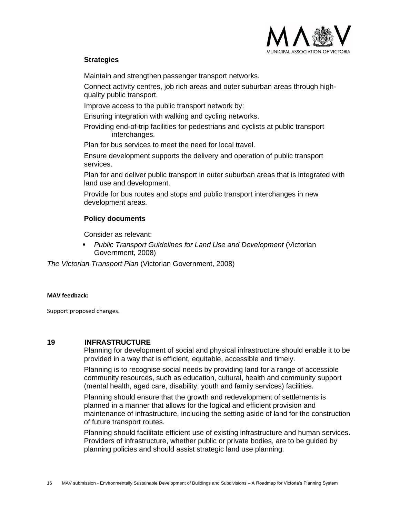

## **Strategies**

Maintain and strengthen passenger transport networks.

Connect activity centres, job rich areas and outer suburban areas through highquality public transport.

Improve access to the public transport network by:

Ensuring integration with walking and cycling networks.

Providing end-of-trip facilities for pedestrians and cyclists at public transport interchanges.

Plan for bus services to meet the need for local travel.

Ensure development supports the delivery and operation of public transport services.

Plan for and deliver public transport in outer suburban areas that is integrated with land use and development.

Provide for bus routes and stops and public transport interchanges in new development areas.

## **Policy documents**

Consider as relevant:

▪ *Public Transport Guidelines for Land Use and Development* (Victorian Government, 2008)

*The Victorian Transport Plan* (Victorian Government, 2008)

#### **MAV feedback:**

Support proposed changes.

#### **19 INFRASTRUCTURE**

Planning for development of social and physical infrastructure should enable it to be provided in a way that is efficient, equitable, accessible and timely.

Planning is to recognise social needs by providing land for a range of accessible community resources, such as education, cultural, health and community support (mental health, aged care, disability, youth and family services) facilities.

Planning should ensure that the growth and redevelopment of settlements is planned in a manner that allows for the logical and efficient provision and maintenance of infrastructure, including the setting aside of land for the construction of future transport routes.

Planning should facilitate efficient use of existing infrastructure and human services. Providers of infrastructure, whether public or private bodies, are to be guided by planning policies and should assist strategic land use planning.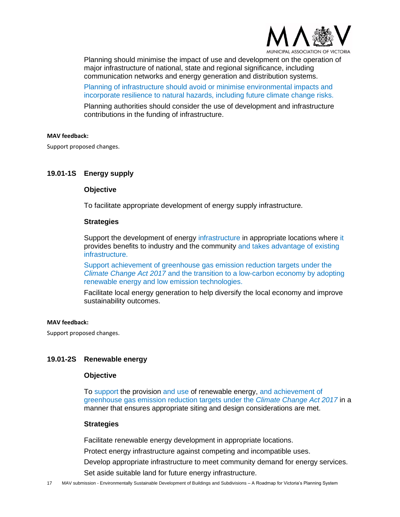

Planning should minimise the impact of use and development on the operation of major infrastructure of national, state and regional significance, including communication networks and energy generation and distribution systems.

Planning of infrastructure should avoid or minimise environmental impacts and incorporate resilience to natural hazards, including future climate change risks.

Planning authorities should consider the use of development and infrastructure contributions in the funding of infrastructure.

#### **MAV feedback:**

Support proposed changes.

#### **19.01-1S Energy supply**

#### **Objective**

To facilitate appropriate development of energy supply infrastructure.

#### **Strategies**

Support the development of energy infrastructure in appropriate locations where it provides benefits to industry and the community and takes advantage of existing infrastructure.

Support achievement of greenhouse gas emission reduction targets under the *Climate Change Act 2017* and the transition to a low-carbon economy by adopting renewable energy and low emission technologies.

Facilitate local energy generation to help diversify the local economy and improve sustainability outcomes.

#### **MAV feedback:**

Support proposed changes.

## **19.01-2S Renewable energy**

#### **Objective**

To support the provision and use of renewable energy, and achievement of greenhouse gas emission reduction targets under the *Climate Change Act 2017* in a manner that ensures appropriate siting and design considerations are met.

#### **Strategies**

Facilitate renewable energy development in appropriate locations.

Protect energy infrastructure against competing and incompatible uses.

Develop appropriate infrastructure to meet community demand for energy services.

Set aside suitable land for future energy infrastructure.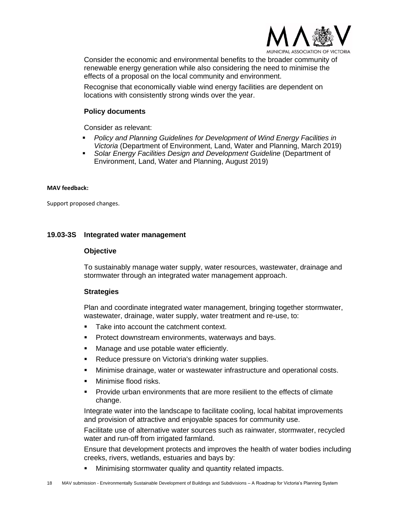

Consider the economic and environmental benefits to the broader community of renewable energy generation while also considering the need to minimise the effects of a proposal on the local community and environment.

Recognise that economically viable wind energy facilities are dependent on locations with consistently strong winds over the year.

### **Policy documents**

Consider as relevant:

- Policy and Planning Guidelines for Development of Wind Energy Facilities in *Victoria* (Department of Environment, Land, Water and Planning, March 2019)
- **Example** *Solar Energy Facilities Design and Development Guideline* **(Department of** Environment, Land, Water and Planning, August 2019)

#### **MAV feedback:**

Support proposed changes.

#### **19.03-3S Integrated water management**

#### **Objective**

To sustainably manage water supply, water resources, wastewater, drainage and stormwater through an integrated water management approach.

#### **Strategies**

Plan and coordinate integrated water management, bringing together stormwater, wastewater, drainage, water supply, water treatment and re-use, to:

- Take into account the catchment context.
- Protect downstream environments, waterways and bays.
- Manage and use potable water efficiently.
- Reduce pressure on Victoria's drinking water supplies.
- Minimise drainage, water or wastewater infrastructure and operational costs.
- Minimise flood risks.
- Provide urban environments that are more resilient to the effects of climate change.

Integrate water into the landscape to facilitate cooling, local habitat improvements and provision of attractive and enjoyable spaces for community use.

Facilitate use of alternative water sources such as rainwater, stormwater, recycled water and run-off from irrigated farmland.

Ensure that development protects and improves the health of water bodies including creeks, rivers, wetlands, estuaries and bays by:

Minimising stormwater quality and quantity related impacts.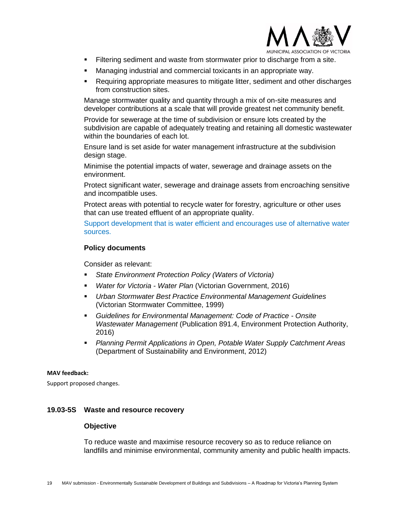

- **Eiltering sediment and waste from stormwater prior to discharge from a site.**
- Managing industrial and commercial toxicants in an appropriate way.
- Requiring appropriate measures to mitigate litter, sediment and other discharges from construction sites.

Manage stormwater quality and quantity through a mix of on-site measures and developer contributions at a scale that will provide greatest net community benefit.

Provide for sewerage at the time of subdivision or ensure lots created by the subdivision are capable of adequately treating and retaining all domestic wastewater within the boundaries of each lot.

Ensure land is set aside for water management infrastructure at the subdivision design stage.

Minimise the potential impacts of water, sewerage and drainage assets on the environment.

Protect significant water, sewerage and drainage assets from encroaching sensitive and incompatible uses.

Protect areas with potential to recycle water for forestry, agriculture or other uses that can use treated effluent of an appropriate quality.

Support development that is water efficient and encourages use of alternative water sources.

#### **Policy documents**

Consider as relevant:

- *State Environment Protection Policy (Waters of Victoria)*
- *Water for Victoria - Water Plan* (Victorian Government, 2016)
- *Urban Stormwater Best Practice Environmental Management Guidelines* (Victorian Stormwater Committee, 1999)
- *Guidelines for Environmental Management: Code of Practice - Onsite Wastewater Management* (Publication 891.4, Environment Protection Authority, 2016)
- *Planning Permit Applications in Open, Potable Water Supply Catchment Areas* (Department of Sustainability and Environment, 2012)

#### **MAV feedback:**

Support proposed changes.

### **19.03-5S Waste and resource recovery**

#### **Objective**

To reduce waste and maximise resource recovery so as to reduce reliance on landfills and minimise environmental, community amenity and public health impacts.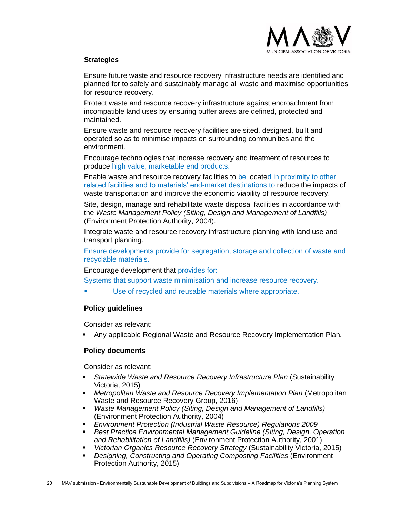

## **Strategies**

Ensure future waste and resource recovery infrastructure needs are identified and planned for to safely and sustainably manage all waste and maximise opportunities for resource recovery.

Protect waste and resource recovery infrastructure against encroachment from incompatible land uses by ensuring buffer areas are defined, protected and maintained.

Ensure waste and resource recovery facilities are sited, designed, built and operated so as to minimise impacts on surrounding communities and the environment.

Encourage technologies that increase recovery and treatment of resources to produce high value, marketable end products.

Enable waste and resource recovery facilities to be located in proximity to other related facilities and to materials' end-market destinations to reduce the impacts of waste transportation and improve the economic viability of resource recovery.

Site, design, manage and rehabilitate waste disposal facilities in accordance with the *Waste Management Policy (Siting, Design and Management of Landfills)*  (Environment Protection Authority, 2004).

Integrate waste and resource recovery infrastructure planning with land use and transport planning.

Ensure developments provide for segregation, storage and collection of waste and recyclable materials.

Encourage development that provides for:

Systems that support waste minimisation and increase resource recovery.

Use of recycled and reusable materials where appropriate.

#### **Policy guidelines**

Consider as relevant:

▪ Any applicable Regional Waste and Resource Recovery Implementation Plan*.*

#### **Policy documents**

Consider as relevant:

- *Statewide Waste and Resource Recovery Infrastructure Plan* (Sustainability Victoria, 2015)
- *Metropolitan Waste and Resource Recovery Implementation Plan* (Metropolitan Waste and Resource Recovery Group, 2016)
- *Waste Management Policy (Siting, Design and Management of Landfills)* (Environment Protection Authority, 2004)
- *Environment Protection (Industrial Waste Resource) Regulations 2009*
- *Best Practice Environmental Management Guideline (Siting, Design, Operation and Rehabilitation of Landfills)* (Environment Protection Authority, 2001)
- *Victorian Organics Resource Recovery Strategy* (Sustainability Victoria, 2015)
- *Designing, Constructing and Operating Composting Facilities* (Environment Protection Authority, 2015)